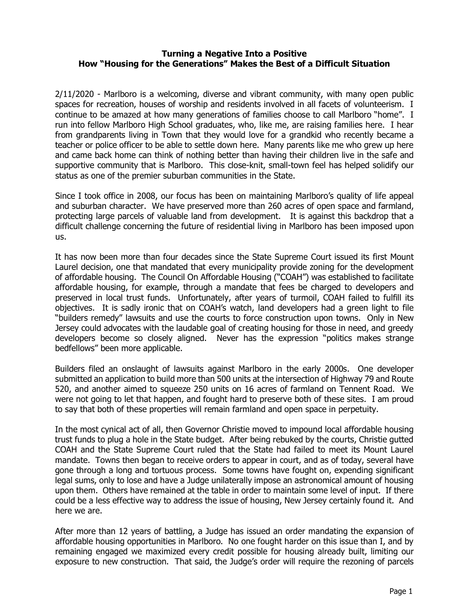## **Turning a Negative Into a Positive How "Housing for the Generations" Makes the Best of a Difficult Situation**

2/11/2020 - Marlboro is a welcoming, diverse and vibrant community, with many open public spaces for recreation, houses of worship and residents involved in all facets of volunteerism. I continue to be amazed at how many generations of families choose to call Marlboro "home". I run into fellow Marlboro High School graduates, who, like me, are raising families here. I hear from grandparents living in Town that they would love for a grandkid who recently became a teacher or police officer to be able to settle down here. Many parents like me who grew up here and came back home can think of nothing better than having their children live in the safe and supportive community that is Marlboro. This close-knit, small-town feel has helped solidify our status as one of the premier suburban communities in the State.

Since I took office in 2008, our focus has been on maintaining Marlboro's quality of life appeal and suburban character. We have preserved more than 260 acres of open space and farmland, protecting large parcels of valuable land from development. It is against this backdrop that a difficult challenge concerning the future of residential living in Marlboro has been imposed upon us.

It has now been more than four decades since the State Supreme Court issued its first Mount Laurel decision, one that mandated that every municipality provide zoning for the development of affordable housing. The Council On Affordable Housing ("COAH") was established to facilitate affordable housing, for example, through a mandate that fees be charged to developers and preserved in local trust funds. Unfortunately, after years of turmoil, COAH failed to fulfill its objectives. It is sadly ironic that on COAH's watch, land developers had a green light to file "builders remedy" lawsuits and use the courts to force construction upon towns. Only in New Jersey could advocates with the laudable goal of creating housing for those in need, and greedy developers become so closely aligned. Never has the expression "politics makes strange bedfellows" been more applicable.

Builders filed an onslaught of lawsuits against Marlboro in the early 2000s. One developer submitted an application to build more than 500 units at the intersection of Highway 79 and Route 520, and another aimed to squeeze 250 units on 16 acres of farmland on Tennent Road. We were not going to let that happen, and fought hard to preserve both of these sites. I am proud to say that both of these properties will remain farmland and open space in perpetuity.

In the most cynical act of all, then Governor Christie moved to impound local affordable housing trust funds to plug a hole in the State budget. After being rebuked by the courts, Christie gutted COAH and the State Supreme Court ruled that the State had failed to meet its Mount Laurel mandate. Towns then began to receive orders to appear in court, and as of today, several have gone through a long and tortuous process. Some towns have fought on, expending significant legal sums, only to lose and have a Judge unilaterally impose an astronomical amount of housing upon them. Others have remained at the table in order to maintain some level of input. If there could be a less effective way to address the issue of housing, New Jersey certainly found it. And here we are.

After more than 12 years of battling, a Judge has issued an order mandating the expansion of affordable housing opportunities in Marlboro. No one fought harder on this issue than I, and by remaining engaged we maximized every credit possible for housing already built, limiting our exposure to new construction. That said, the Judge's order will require the rezoning of parcels